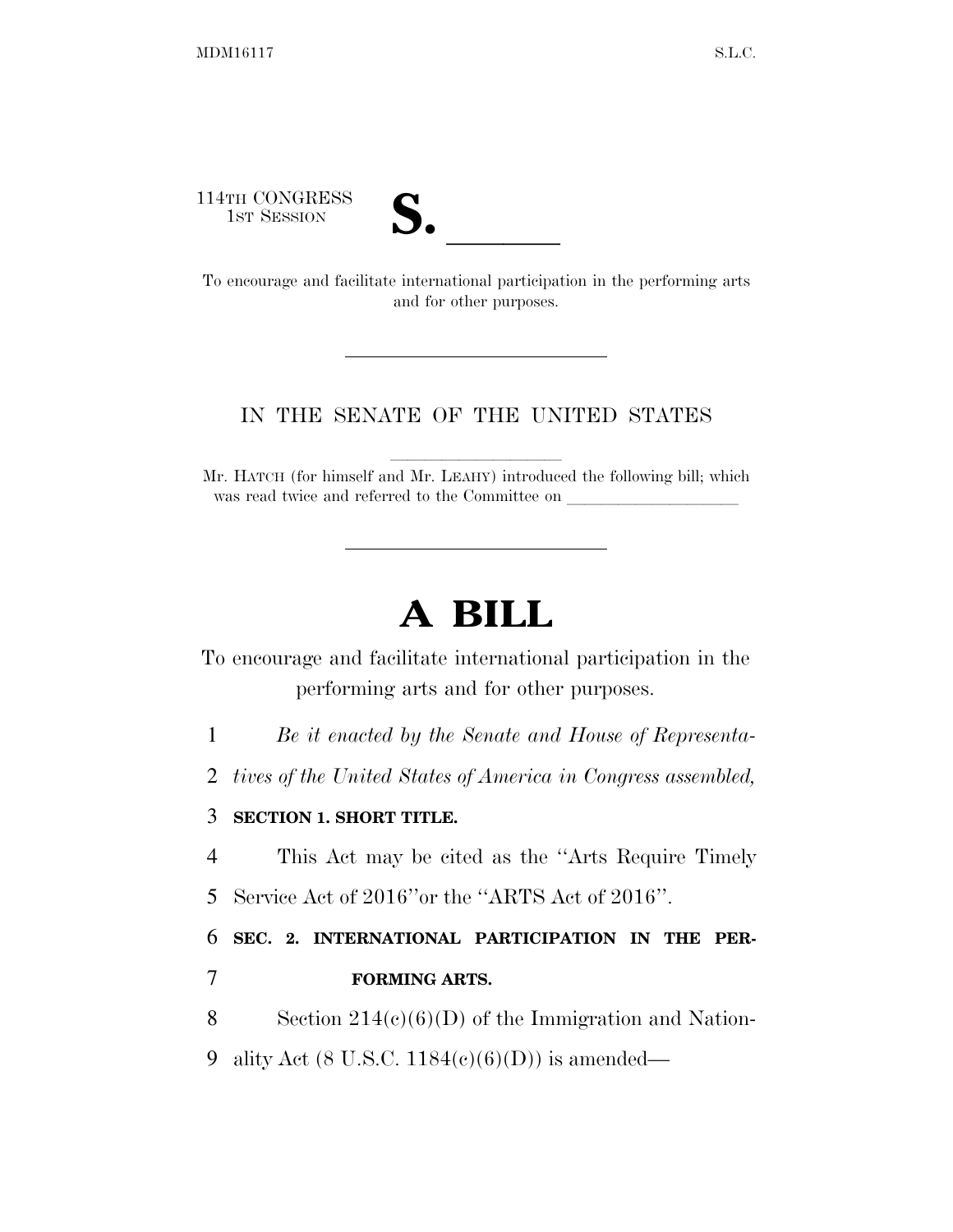114TH CONGRESS



14TH CONGRESS<br>
1ST SESSION<br>
To encourage and facilitate international participation in the performing arts and for other purposes.

## IN THE SENATE OF THE UNITED STATES

Mr. HATCH (for himself and Mr. LEAHY) introduced the following bill; which was read twice and referred to the Committee on

## **A BILL**

To encourage and facilitate international participation in the performing arts and for other purposes.

1 *Be it enacted by the Senate and House of Representa-*

2 *tives of the United States of America in Congress assembled,* 

## 3 **SECTION 1. SHORT TITLE.**

4 This Act may be cited as the ''Arts Require Timely

5 Service Act of 2016''or the ''ARTS Act of 2016''.

6 **SEC. 2. INTERNATIONAL PARTICIPATION IN THE PER-**7 **FORMING ARTS.** 

8 Section 214(c)(6)(D) of the Immigration and Nation-

9 ality Act (8 U.S.C.  $1184(c)(6)(D)$ ) is amended—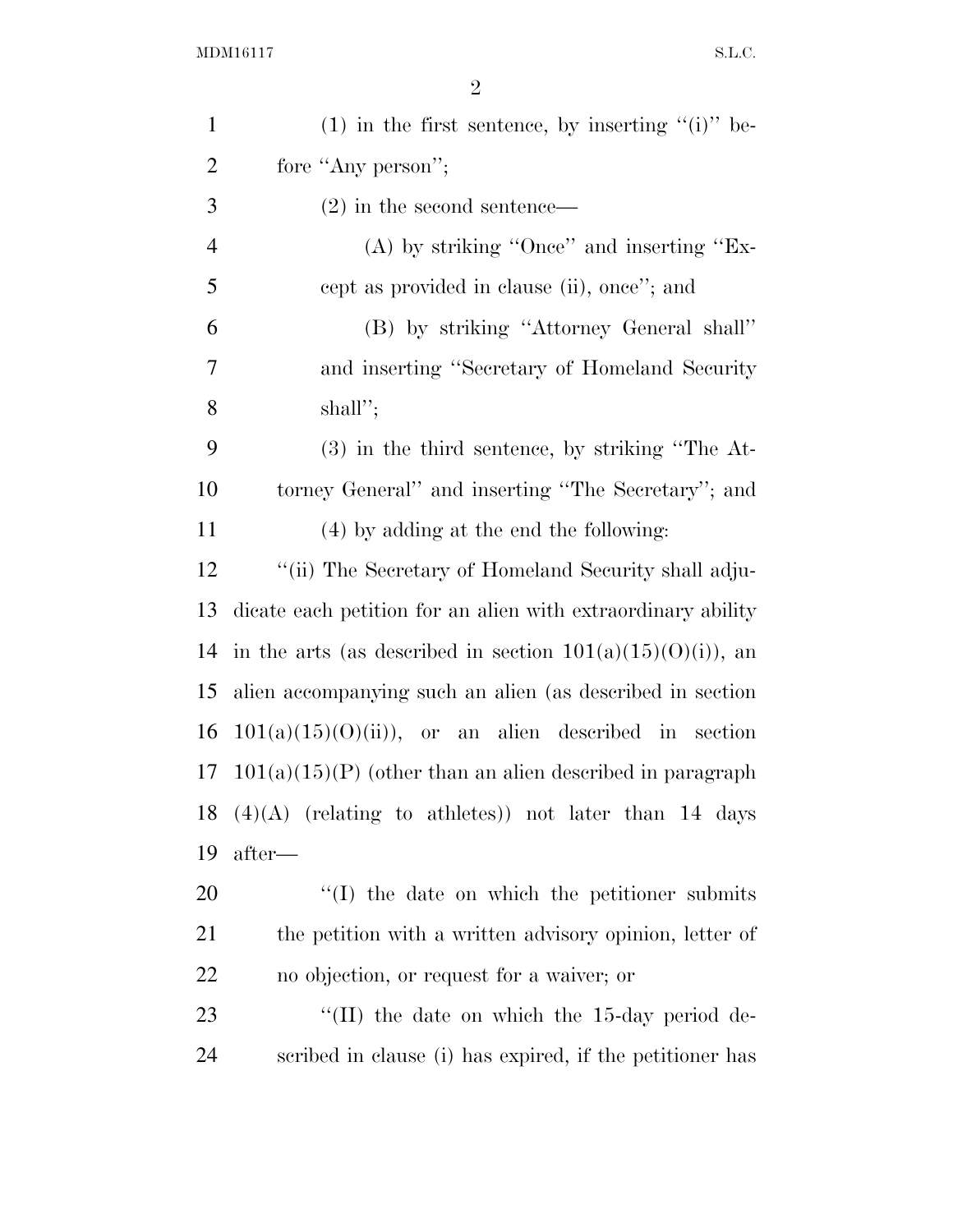| $\mathbf{1}$   | $(1)$ in the first sentence, by inserting " $(i)$ " be-       |
|----------------|---------------------------------------------------------------|
| $\overline{2}$ | fore "Any person";                                            |
| 3              | $(2)$ in the second sentence—                                 |
| $\overline{4}$ | $(A)$ by striking "Once" and inserting "Ex-                   |
| 5              | cept as provided in clause (ii), once"; and                   |
| 6              | (B) by striking "Attorney General shall"                      |
| 7              | and inserting "Secretary of Homeland Security"                |
| 8              | shall";                                                       |
| 9              | $(3)$ in the third sentence, by striking "The At-             |
| 10             | torney General" and inserting "The Secretary"; and            |
| 11             | (4) by adding at the end the following:                       |
| 12             | "(ii) The Secretary of Homeland Security shall adju-          |
| 13             | dicate each petition for an alien with extraordinary ability  |
| 14             | in the arts (as described in section $101(a)(15)(0)(i)$ ), an |
| 15             | alien accompanying such an alien (as described in section     |
| 16             | $101(a)(15)(0)(ii)$ , or an alien described in section        |
| 17             | $101(a)(15)(P)$ (other than an alien described in paragraph   |
| 18             | $(4)(A)$ (relating to athletes)) not later than 14 days       |
| 19             | after—                                                        |
| 20             | $\lq\lq$ the date on which the petitioner submits             |
| 21             | the petition with a written advisory opinion, letter of       |
| 22             | no objection, or request for a waiver; or                     |
| 23             | "(II) the date on which the 15-day period de-                 |
| 24             | scribed in clause (i) has expired, if the petitioner has      |